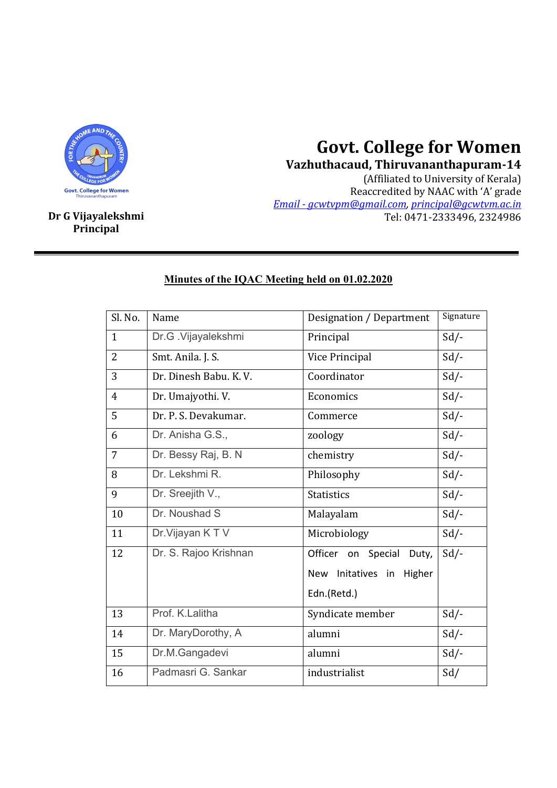

## **Govt. College for Women**

**Vazhuthacaud, Thiruvananthapuram-14** (Affiliated to University of Kerala) Reaccredited by NAAC with 'A' grade *Email - gcwtvpm@gmail.com, principal@gcwtvm.ac.in* **Dr G Vijayalekshmi** Tel: 0471-2333496, 2324986

**Principal**

## Sl. No. | Name  $\vert$  Designation / Department | Signature 1 Dr.G .Vijayalekshmi Principal Sd/-2 Smt. Anila. J. S. Vice Principal Sd/-3 | Dr. Dinesh Babu. K. V. | Coordinator | Sd/-4 | Dr. Umajyothi. V. | Economics | Sd/-5 Dr. P. S. Devakumar. Commerce Sd/-6 Dr. Anisha G.S., zoology Sd/- 7 | Dr. Bessy Raj, B. N | chemistry | Sd/-8 Dr. Lekshmi R. Philosophy Sd/-9 | Dr. Sreejith V., Subsetted and Statistics Sd/-10 Dr. Noushad S Malayalam Sd/-11 | Dr. Vijayan K T V | Microbiology | Sd/-12 | Dr. S. Rajoo Krishnan | Officer on Special Duty, New Initatives in Higher Edn.(Retd.)  $Sd/-$ 13 | Prof. K.Lalitha | Syndicate member | Sd/-14 Dr. MaryDorothy, A alumni Sd/-15 Dr.M.Gangadevi alumni Sd/-16 Padmasri G. Sankar industrialist Sd/

## **Minutes of the IQAC Meeting held on 01.02.2020**